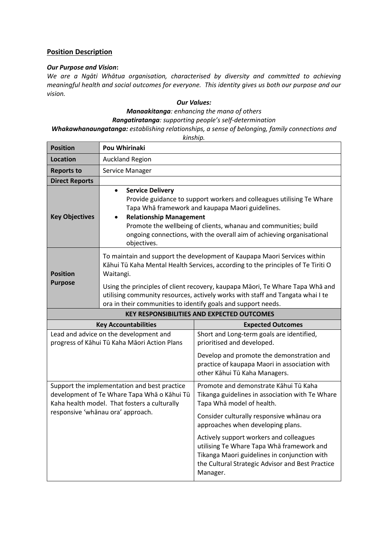# **Position Description**

### *Our Purpose and Vision***:**

*We are a Ngāti Whātua organisation, characterised by diversity and committed to achieving meaningful health and social outcomes for everyone. This identity gives us both our purpose and our vision.*

#### *Our Values:*

*Manaakitanga: enhancing the mana of others*

*Rangatiratanga: supporting people's self-determination*

*Whakawhanaungatanga: establishing relationships, a sense of belonging, family connections and*

*kinship.*

| <b>Position</b>                   | <b>Pou Whirinaki</b>                                                                                                                                                                                                                                                                                                                                                                                          |                                                                                                                             |  |
|-----------------------------------|---------------------------------------------------------------------------------------------------------------------------------------------------------------------------------------------------------------------------------------------------------------------------------------------------------------------------------------------------------------------------------------------------------------|-----------------------------------------------------------------------------------------------------------------------------|--|
| Location                          | <b>Auckland Region</b>                                                                                                                                                                                                                                                                                                                                                                                        |                                                                                                                             |  |
| <b>Reports to</b>                 | Service Manager                                                                                                                                                                                                                                                                                                                                                                                               |                                                                                                                             |  |
| <b>Direct Reports</b>             |                                                                                                                                                                                                                                                                                                                                                                                                               |                                                                                                                             |  |
| <b>Key Objectives</b>             | <b>Service Delivery</b><br>$\bullet$<br>Provide guidance to support workers and colleagues utilising Te Whare<br>Tapa Whā framework and kaupapa Maori guidelines.<br><b>Relationship Management</b><br>Promote the wellbeing of clients, whanau and communities; build<br>ongoing connections, with the overall aim of achieving organisational<br>objectives.                                                |                                                                                                                             |  |
| <b>Position</b><br><b>Purpose</b> | To maintain and support the development of Kaupapa Maori Services within<br>Kāhui Tū Kaha Mental Health Services, according to the principles of Te Tiriti O<br>Waitangi.<br>Using the principles of client recovery, kaupapa Māori, Te Whare Tapa Whā and<br>utilising community resources, actively works with staff and Tangata whai I te<br>ora in their communities to identify goals and support needs. |                                                                                                                             |  |
|                                   |                                                                                                                                                                                                                                                                                                                                                                                                               | <b>KEY RESPONSIBILITIES AND EXPECTED OUTCOMES</b>                                                                           |  |
|                                   |                                                                                                                                                                                                                                                                                                                                                                                                               |                                                                                                                             |  |
|                                   | <b>Key Accountabilities</b>                                                                                                                                                                                                                                                                                                                                                                                   | <b>Expected Outcomes</b>                                                                                                    |  |
|                                   | Lead and advice on the development and<br>progress of Kāhui Tū Kaha Māori Action Plans                                                                                                                                                                                                                                                                                                                        | Short and Long-term goals are identified,<br>prioritised and developed.                                                     |  |
|                                   |                                                                                                                                                                                                                                                                                                                                                                                                               | Develop and promote the demonstration and<br>practice of kaupapa Maori in association with<br>other Kāhui Tū Kaha Managers. |  |
|                                   | Support the implementation and best practice<br>development of Te Whare Tapa Wha o Kahui Tū<br>Kaha health model. That fosters a culturally                                                                                                                                                                                                                                                                   | Promote and demonstrate Kāhui Tū Kaha<br>Tikanga guidelines in association with Te Whare<br>Tapa Wha model of health.       |  |
|                                   | responsive 'whānau ora' approach.                                                                                                                                                                                                                                                                                                                                                                             | Consider culturally responsive whanau ora<br>approaches when developing plans.                                              |  |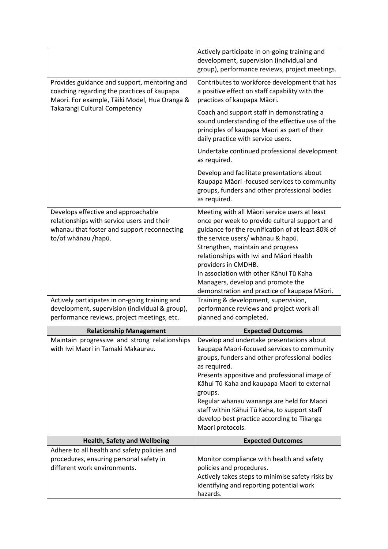|                                                                                                                                                         | Actively participate in on-going training and<br>development, supervision (individual and<br>group), performance reviews, project meetings.                                                                                                                                                                                                                                                                                         |
|---------------------------------------------------------------------------------------------------------------------------------------------------------|-------------------------------------------------------------------------------------------------------------------------------------------------------------------------------------------------------------------------------------------------------------------------------------------------------------------------------------------------------------------------------------------------------------------------------------|
| Provides guidance and support, mentoring and<br>coaching regarding the practices of kaupapa<br>Maori. For example, Tāiki Model, Hua Oranga &            | Contributes to workforce development that has<br>a positive effect on staff capability with the<br>practices of kaupapa Māori.                                                                                                                                                                                                                                                                                                      |
| Takarangi Cultural Competency                                                                                                                           | Coach and support staff in demonstrating a<br>sound understanding of the effective use of the<br>principles of kaupapa Maori as part of their<br>daily practice with service users.                                                                                                                                                                                                                                                 |
|                                                                                                                                                         | Undertake continued professional development<br>as required.                                                                                                                                                                                                                                                                                                                                                                        |
|                                                                                                                                                         | Develop and facilitate presentations about<br>Kaupapa Māori -focused services to community<br>groups, funders and other professional bodies<br>as required.                                                                                                                                                                                                                                                                         |
| Develops effective and approachable<br>relationships with service users and their<br>whanau that foster and support reconnecting<br>to/of whānau /hapū. | Meeting with all Māori service users at least<br>once per week to provide cultural support and<br>guidance for the reunification of at least 80% of<br>the service users/ whānau & hapū.<br>Strengthen, maintain and progress<br>relationships with Iwi and Māori Health<br>providers in CMDHB.<br>In association with other Kahui Tū Kaha<br>Managers, develop and promote the<br>demonstration and practice of kaupapa Māori.     |
| Actively participates in on-going training and<br>development, supervision (individual & group),<br>performance reviews, project meetings, etc.         | Training & development, supervision,<br>performance reviews and project work all<br>planned and completed.                                                                                                                                                                                                                                                                                                                          |
| <b>Relationship Management</b>                                                                                                                          | <b>Expected Outcomes</b>                                                                                                                                                                                                                                                                                                                                                                                                            |
| Maintain progressive and strong relationships<br>with Iwi Maori in Tamaki Makaurau.                                                                     | Develop and undertake presentations about<br>kaupapa Maori-focused services to community<br>groups, funders and other professional bodies<br>as required.<br>Presents appositive and professional image of<br>Kāhui Tū Kaha and kaupapa Maori to external<br>groups.<br>Regular whanau wananga are held for Maori<br>staff within Kāhui Tū Kaha, to support staff<br>develop best practice according to Tikanga<br>Maori protocols. |
| <b>Health, Safety and Wellbeing</b>                                                                                                                     | <b>Expected Outcomes</b>                                                                                                                                                                                                                                                                                                                                                                                                            |
| Adhere to all health and safety policies and<br>procedures, ensuring personal safety in<br>different work environments.                                 | Monitor compliance with health and safety<br>policies and procedures.<br>Actively takes steps to minimise safety risks by<br>identifying and reporting potential work<br>hazards.                                                                                                                                                                                                                                                   |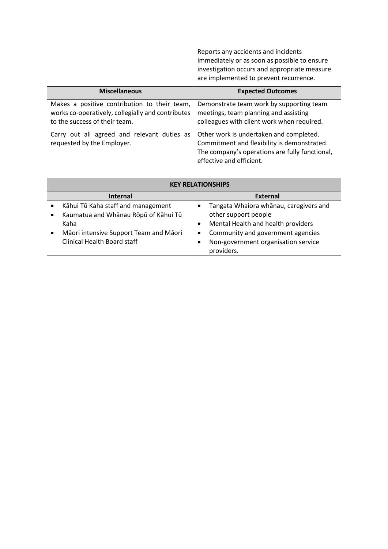|                                                                           | Reports any accidents and incidents                                                                                                                                  |  |  |  |
|---------------------------------------------------------------------------|----------------------------------------------------------------------------------------------------------------------------------------------------------------------|--|--|--|
|                                                                           | immediately or as soon as possible to ensure                                                                                                                         |  |  |  |
|                                                                           | investigation occurs and appropriate measure                                                                                                                         |  |  |  |
|                                                                           | are implemented to prevent recurrence.                                                                                                                               |  |  |  |
| <b>Miscellaneous</b>                                                      | <b>Expected Outcomes</b>                                                                                                                                             |  |  |  |
| Makes a positive contribution to their team,                              | Demonstrate team work by supporting team                                                                                                                             |  |  |  |
| works co-operatively, collegially and contributes                         | meetings, team planning and assisting                                                                                                                                |  |  |  |
| to the success of their team.                                             | colleagues with client work when required.                                                                                                                           |  |  |  |
| Carry out all agreed and relevant duties as<br>requested by the Employer. | Other work is undertaken and completed.<br>Commitment and flexibility is demonstrated.<br>The company's operations are fully functional,<br>effective and efficient. |  |  |  |
| <b>KEY RELATIONSHIPS</b>                                                  |                                                                                                                                                                      |  |  |  |
| <b>Internal</b>                                                           | <b>External</b>                                                                                                                                                      |  |  |  |
| Kāhui Tū Kaha staff and management                                        | Tangata Whaiora whanau, caregivers and<br>$\bullet$                                                                                                                  |  |  |  |
| Kaumatua and Whānau Rōpū of Kāhui Tū                                      | other support people                                                                                                                                                 |  |  |  |
| Kaha                                                                      | Mental Health and health providers<br>٠                                                                                                                              |  |  |  |
| Māori intensive Support Team and Māori                                    | Community and government agencies<br>$\bullet$                                                                                                                       |  |  |  |
| Clinical Health Board staff                                               | Non-government organisation service<br>$\bullet$<br>providers.                                                                                                       |  |  |  |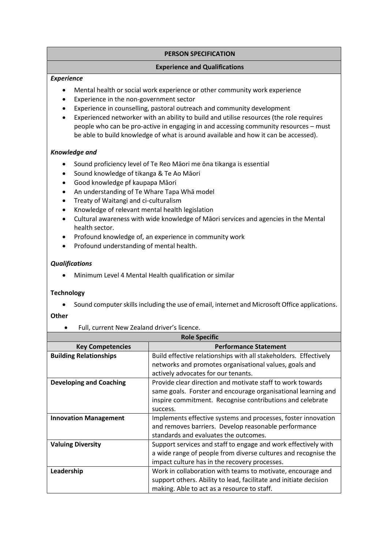# **PERSON SPECIFICATION**

### **Experience and Qualifications**

### *Experience*

- Mental health or social work experience or other community work experience
- Experience in the non-government sector
- Experience in counselling, pastoral outreach and community development
- Experienced networker with an ability to build and utilise resources (the role requires people who can be pro-active in engaging in and accessing community resources – must be able to build knowledge of what is around available and how it can be accessed).

# *Knowledge and*

- Sound proficiency level of Te Reo Māori me ōna tikanga is essential
- Sound knowledge of tikanga & Te Ao Māori
- Good knowledge pf kaupapa Māori
- An understanding of Te Whare Tapa Whā model
- Treaty of Waitangi and ci-culturalism
- Knowledge of relevant mental health legislation
- Cultural awareness with wide knowledge of Māori services and agencies in the Mental health sector.
- Profound knowledge of, an experience in community work
- Profound understanding of mental health.

# *Qualifications*

• Minimum Level 4 Mental Health qualification or similar

#### **Technology**

• Sound computer skills including the use of email, internet and Microsoft Office applications.

#### **Other**

• Full, current New Zealand driver's licence.

| <b>Role Specific</b>           |                                                                   |  |
|--------------------------------|-------------------------------------------------------------------|--|
| <b>Key Competencies</b>        | <b>Performance Statement</b>                                      |  |
| <b>Building Relationships</b>  | Build effective relationships with all stakeholders. Effectively  |  |
|                                | networks and promotes organisational values, goals and            |  |
|                                | actively advocates for our tenants.                               |  |
| <b>Developing and Coaching</b> | Provide clear direction and motivate staff to work towards        |  |
|                                | same goals. Forster and encourage organisational learning and     |  |
|                                | inspire commitment. Recognise contributions and celebrate         |  |
|                                | success.                                                          |  |
| <b>Innovation Management</b>   | Implements effective systems and processes, foster innovation     |  |
|                                | and removes barriers. Develop reasonable performance              |  |
|                                | standards and evaluates the outcomes.                             |  |
| <b>Valuing Diversity</b>       | Support services and staff to engage and work effectively with    |  |
|                                | a wide range of people from diverse cultures and recognise the    |  |
|                                | impact culture has in the recovery processes.                     |  |
| Leadership                     | Work in collaboration with teams to motivate, encourage and       |  |
|                                | support others. Ability to lead, facilitate and initiate decision |  |
|                                | making. Able to act as a resource to staff.                       |  |